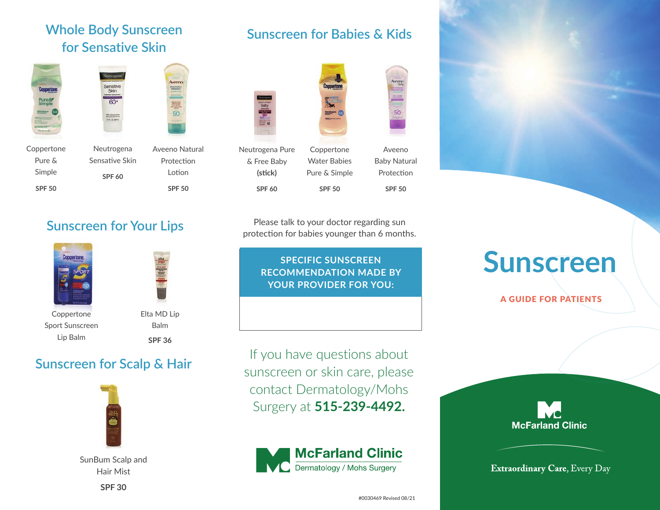#### **Whole Body Sunscreen for Sensative Skin**





Coppertone Pure & Simple **SPF 50**

Aveeno Natural Protection Lotion **SPF 50** Neutrogena Sensative Skin

### **Sunscreen for Babies & Kids**





Aveeno Baby Natural Protection **SPF 50** Coppertone Water Babies Pure & Simple

50

Please talk to your doctor regarding sun protection for babies younger than 6 months.

**SPF 50**

#### **SPECIFIC SUNSCREEN RECOMMENDATION MADE BY YOUR PROVIDER FOR YOU:**

If you have questions about sunscreen or skin care, please contact Dermatology/Mohs Surgery at **515-239-4492.**



# **Sunscreen**

A GUIDE FOR PATIENTS

## **McFarland Clinic**

**Extraordinary Care, Every Day** 

#### **Sunscreen for Your Lips**

**SPF 60**





Coppertone Sport Sunscreen Lip Balm

Balm **SPF 36**

#### **Sunscreen for Scalp & Hair**



SunBum Scalp and Hair Mist

**SPF 30**